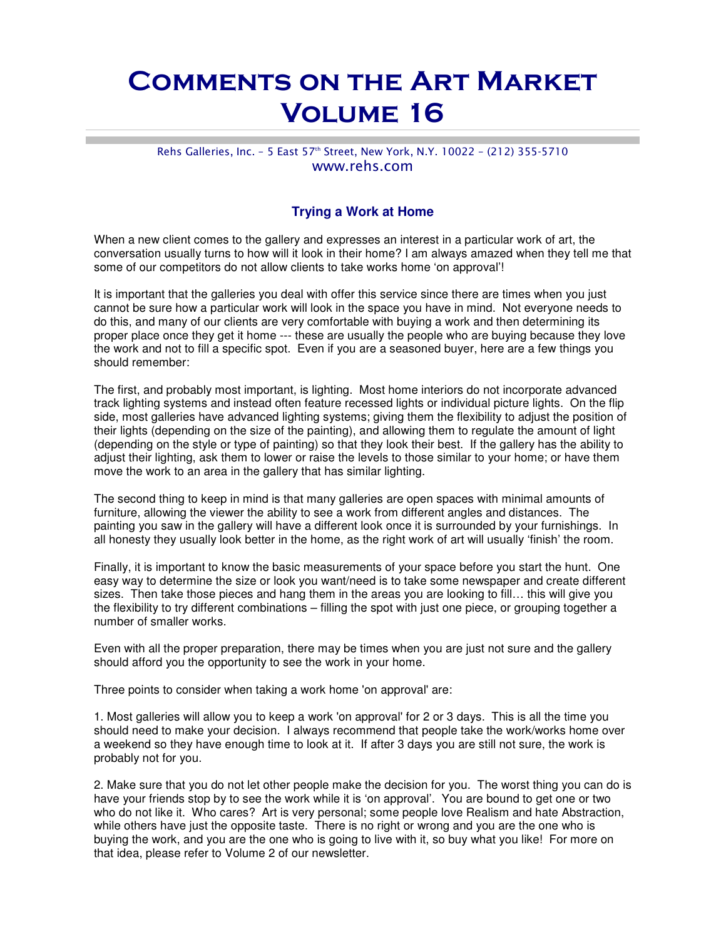## Comments on the Art Market Volume 16

## Rehs Galleries, Inc. - 5 East 57<sup>th</sup> Street, New York, N.Y. 10022 - (212) 355-5710 www.rehs.com

## **Trying a Work at Home**

When a new client comes to the gallery and expresses an interest in a particular work of art, the conversation usually turns to how will it look in their home? I am always amazed when they tell me that some of our competitors do not allow clients to take works home 'on approval'!

It is important that the galleries you deal with offer this service since there are times when you just cannot be sure how a particular work will look in the space you have in mind. Not everyone needs to do this, and many of our clients are very comfortable with buying a work and then determining its proper place once they get it home --- these are usually the people who are buying because they love the work and not to fill a specific spot. Even if you are a seasoned buyer, here are a few things you should remember:

The first, and probably most important, is lighting. Most home interiors do not incorporate advanced track lighting systems and instead often feature recessed lights or individual picture lights. On the flip side, most galleries have advanced lighting systems; giving them the flexibility to adjust the position of their lights (depending on the size of the painting), and allowing them to regulate the amount of light (depending on the style or type of painting) so that they look their best. If the gallery has the ability to adjust their lighting, ask them to lower or raise the levels to those similar to your home; or have them move the work to an area in the gallery that has similar lighting.

The second thing to keep in mind is that many galleries are open spaces with minimal amounts of furniture, allowing the viewer the ability to see a work from different angles and distances. The painting you saw in the gallery will have a different look once it is surrounded by your furnishings. In all honesty they usually look better in the home, as the right work of art will usually 'finish' the room.

Finally, it is important to know the basic measurements of your space before you start the hunt. One easy way to determine the size or look you want/need is to take some newspaper and create different sizes. Then take those pieces and hang them in the areas you are looking to fill… this will give you the flexibility to try different combinations – filling the spot with just one piece, or grouping together a number of smaller works.

Even with all the proper preparation, there may be times when you are just not sure and the gallery should afford you the opportunity to see the work in your home.

Three points to consider when taking a work home 'on approval' are:

1. Most galleries will allow you to keep a work 'on approval' for 2 or 3 days. This is all the time you should need to make your decision. I always recommend that people take the work/works home over a weekend so they have enough time to look at it. If after 3 days you are still not sure, the work is probably not for you.

2. Make sure that you do not let other people make the decision for you. The worst thing you can do is have your friends stop by to see the work while it is 'on approval'. You are bound to get one or two who do not like it. Who cares? Art is very personal; some people love Realism and hate Abstraction, while others have just the opposite taste. There is no right or wrong and you are the one who is buying the work, and you are the one who is going to live with it, so buy what you like! For more on that idea, please refer to Volume 2 of our newsletter.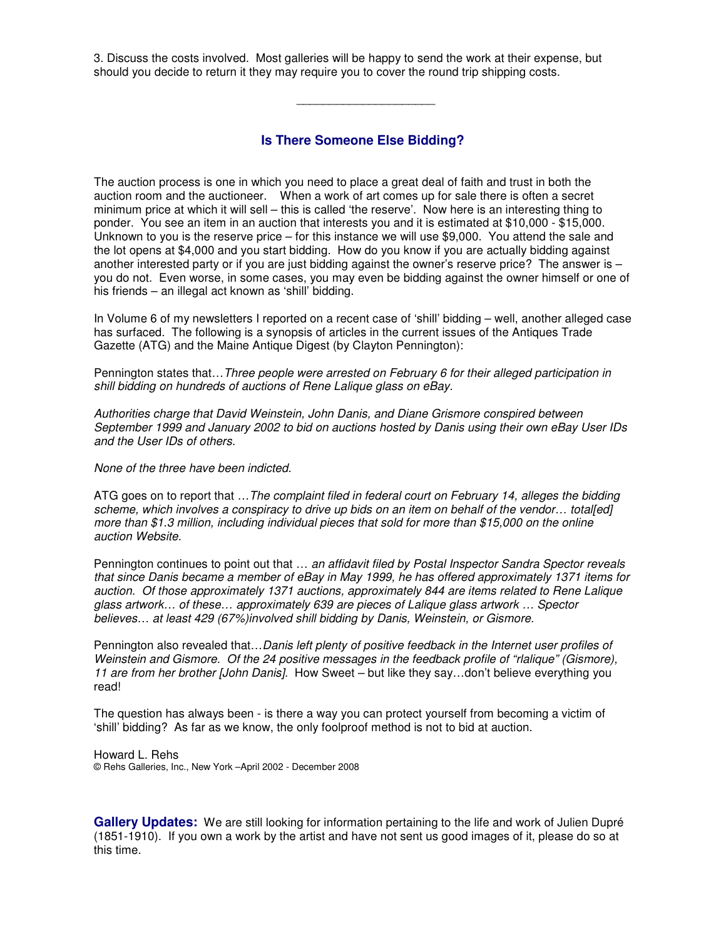3. Discuss the costs involved. Most galleries will be happy to send the work at their expense, but should you decide to return it they may require you to cover the round trip shipping costs.

**Is There Someone Else Bidding?**

 $\overline{\phantom{a}}$  , we can assume that the contract of the contract of the contract of the contract of the contract of the contract of the contract of the contract of the contract of the contract of the contract of the contract

The auction process is one in which you need to place a great deal of faith and trust in both the auction room and the auctioneer. When a work of art comes up for sale there is often a secret minimum price at which it will sell – this is called 'the reserve'. Now here is an interesting thing to ponder. You see an item in an auction that interests you and it is estimated at \$10,000 - \$15,000. Unknown to you is the reserve price – for this instance we will use \$9,000. You attend the sale and the lot opens at \$4,000 and you start bidding. How do you know if you are actually bidding against another interested party or if you are just bidding against the owner's reserve price? The answer is – you do not. Even worse, in some cases, you may even be bidding against the owner himself or one of his friends – an illegal act known as 'shill' bidding.

In Volume 6 of my newsletters I reported on a recent case of 'shill' bidding – well, another alleged case has surfaced. The following is a synopsis of articles in the current issues of the Antiques Trade Gazette (ATG) and the Maine Antique Digest (by Clayton Pennington):

Pennington states that…Three people were arrested on February 6 for their alleged participation in shill bidding on hundreds of auctions of Rene Lalique glass on eBay.

Authorities charge that David Weinstein, John Danis, and Diane Grismore conspired between September 1999 and January 2002 to bid on auctions hosted by Danis using their own eBay User IDs and the User IDs of others.

None of the three have been indicted.

ATG goes on to report that ... The complaint filed in federal court on February 14, alleges the bidding scheme, which involves a conspiracy to drive up bids on an item on behalf of the vendor... total[ed] more than \$1.3 million, including individual pieces that sold for more than \$15,000 on the online auction Website.

Pennington continues to point out that ... an affidavit filed by Postal Inspector Sandra Spector reveals that since Danis became a member of eBay in May 1999, he has offered approximately 1371 items for auction. Of those approximately 1371 auctions, approximately 844 are items related to Rene Lalique glass artwork… of these… approximately 639 are pieces of Lalique glass artwork … Spector believes… at least 429 (67%)involved shill bidding by Danis, Weinstein, or Gismore.

Pennington also revealed that... Danis left plenty of positive feedback in the Internet user profiles of Weinstein and Gismore. Of the 24 positive messages in the feedback profile of "rlalique" (Gismore), 11 are from her brother [John Danis]. How Sweet – but like they say...don't believe everything you read!

The question has always been - is there a way you can protect yourself from becoming a victim of 'shill' bidding? As far as we know, the only foolproof method is not to bid at auction.

Howard L. Rehs © Rehs Galleries, Inc., New York –April 2002 - December 2008

**Gallery Updates:** We are still looking for information pertaining to the life and work of Julien Dupré (1851-1910). If you own a work by the artist and have not sent us good images of it, please do so at this time.